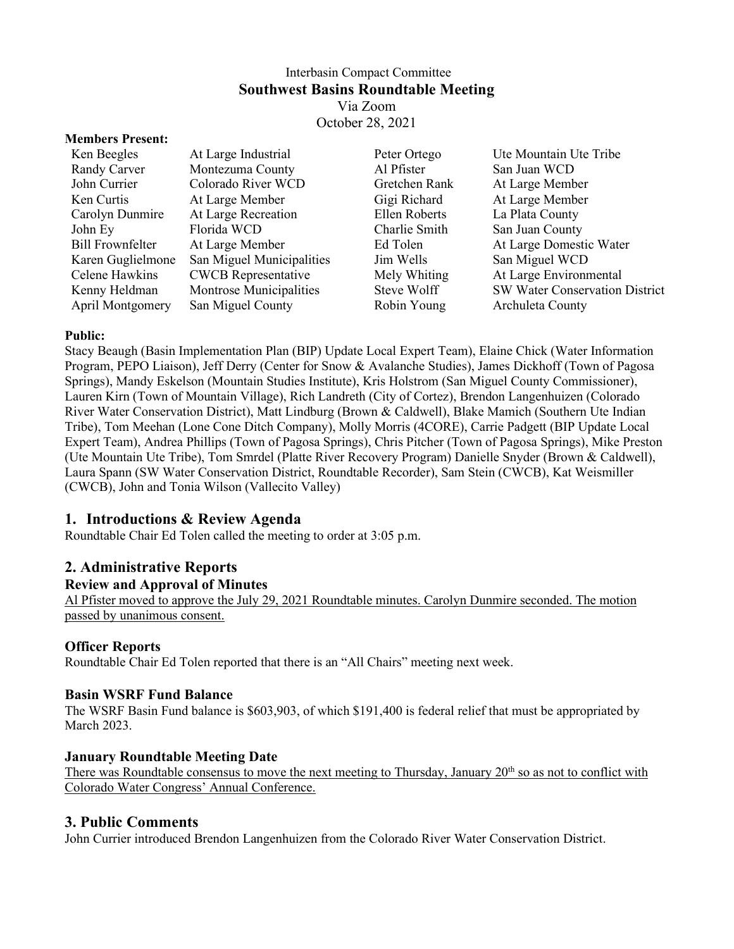#### Interbasin Compact Committee **Southwest Basins Roundtable Meeting** Via Zoom October 28, 2021

#### **Members Present:**

| Ken Beegles             | At Large Industrial        | Peter Ortego  | Ute Mountain Ute Tribe         |
|-------------------------|----------------------------|---------------|--------------------------------|
| Randy Carver            | Montezuma County           | Al Pfister    | San Juan WCD                   |
| John Currier            | Colorado River WCD         | Gretchen Rank | At Large Member                |
| Ken Curtis              | At Large Member            | Gigi Richard  | At Large Member                |
| Carolyn Dunmire         | At Large Recreation        | Ellen Roberts | La Plata County                |
| John Ey                 | Florida WCD                | Charlie Smith | San Juan County                |
| <b>Bill Frownfelter</b> | At Large Member            | Ed Tolen      | At Large Domestic Water        |
| Karen Guglielmone       | San Miguel Municipalities  | Jim Wells     | San Miguel WCD                 |
| Celene Hawkins          | <b>CWCB</b> Representative | Mely Whiting  | At Large Environmental         |
| Kenny Heldman           | Montrose Municipalities    | Steve Wolff   | SW Water Conservation District |
| <b>April Montgomery</b> | San Miguel County          | Robin Young   | Archuleta County               |
|                         |                            |               |                                |

#### **Public:**

Stacy Beaugh (Basin Implementation Plan (BIP) Update Local Expert Team), Elaine Chick (Water Information Program, PEPO Liaison), Jeff Derry (Center for Snow & Avalanche Studies), James Dickhoff (Town of Pagosa Springs), Mandy Eskelson (Mountain Studies Institute), Kris Holstrom (San Miguel County Commissioner), Lauren Kirn (Town of Mountain Village), Rich Landreth (City of Cortez), Brendon Langenhuizen (Colorado River Water Conservation District), Matt Lindburg (Brown & Caldwell), Blake Mamich (Southern Ute Indian Tribe), Tom Meehan (Lone Cone Ditch Company), Molly Morris (4CORE), Carrie Padgett (BIP Update Local Expert Team), Andrea Phillips (Town of Pagosa Springs), Chris Pitcher (Town of Pagosa Springs), Mike Preston (Ute Mountain Ute Tribe), Tom Smrdel (Platte River Recovery Program) Danielle Snyder (Brown & Caldwell), Laura Spann (SW Water Conservation District, Roundtable Recorder), Sam Stein (CWCB), Kat Weismiller (CWCB), John and Tonia Wilson (Vallecito Valley)

### **1. Introductions & Review Agenda**

Roundtable Chair Ed Tolen called the meeting to order at 3:05 p.m.

## **2. Administrative Reports**

#### **Review and Approval of Minutes**

Al Pfister moved to approve the July 29, 2021 Roundtable minutes. Carolyn Dunmire seconded. The motion passed by unanimous consent.

### **Officer Reports**

Roundtable Chair Ed Tolen reported that there is an "All Chairs" meeting next week.

#### **Basin WSRF Fund Balance**

The WSRF Basin Fund balance is \$603,903, of which \$191,400 is federal relief that must be appropriated by March 2023.

#### **January Roundtable Meeting Date**

There was Roundtable consensus to move the next meeting to Thursday, January 20<sup>th</sup> so as not to conflict with Colorado Water Congress' Annual Conference.

### **3. Public Comments**

John Currier introduced Brendon Langenhuizen from the Colorado River Water Conservation District.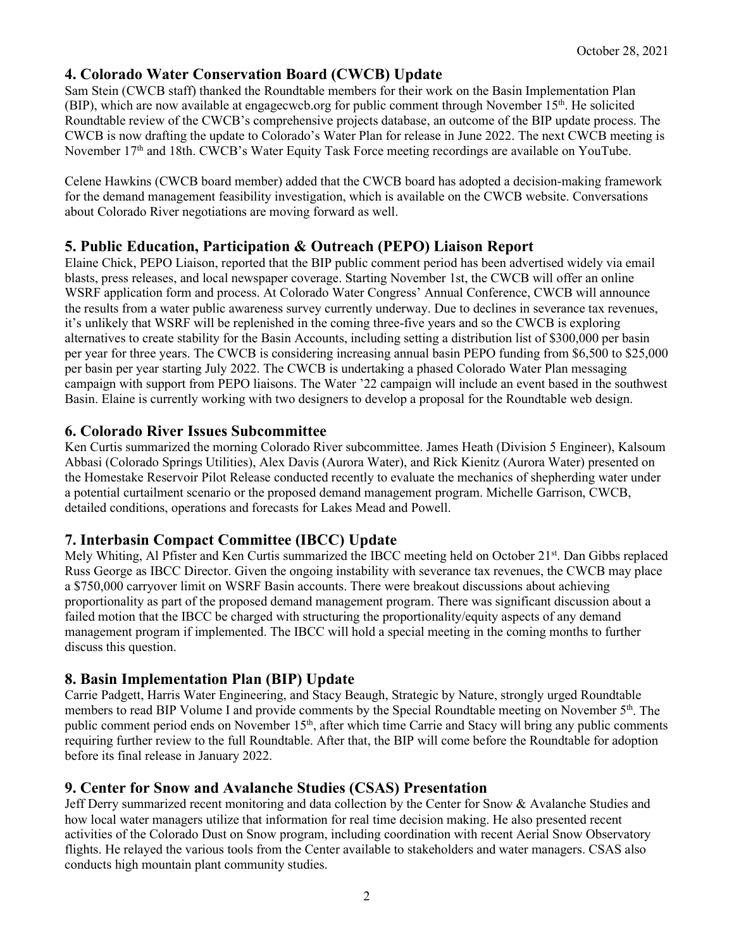### **4. Colorado Water Conservation Board (CWCB) Update**

Sam Stein (CWCB staff) thanked the Roundtable members for their work on the Basin Implementation Plan (BIP), which are now available at engagecwcb.org for public comment through November 15th. He solicited Roundtable review of the CWCB's comprehensive projects database, an outcome of the BIP update process. The CWCB is now drafting the update to Colorado's Water Plan for release in June 2022. The next CWCB meeting is November 17<sup>th</sup> and 18th. CWCB's Water Equity Task Force meeting recordings are available on YouTube.

Celene Hawkins (CWCB board member) added that the CWCB board has adopted a decision-making framework for the demand management feasibility investigation, which is available on the CWCB website. Conversations about Colorado River negotiations are moving forward as well.

### **5. Public Education, Participation & Outreach (PEPO) Liaison Report**

Elaine Chick, PEPO Liaison, reported that the BIP public comment period has been advertised widely via email blasts, press releases, and local newspaper coverage. Starting November 1st, the CWCB will offer an online WSRF application form and process. At Colorado Water Congress' Annual Conference, CWCB will announce the results from a water public awareness survey currently underway. Due to declines in severance tax revenues, it's unlikely that WSRF will be replenished in the coming three-five years and so the CWCB is exploring alternatives to create stability for the Basin Accounts, including setting a distribution list of \$300,000 per basin per year for three years. The CWCB is considering increasing annual basin PEPO funding from \$6,500 to \$25,000 per basin per year starting July 2022. The CWCB is undertaking a phased Colorado Water Plan messaging campaign with support from PEPO liaisons. The Water '22 campaign will include an event based in the southwest Basin. Elaine is currently working with two designers to develop a proposal for the Roundtable web design.

### **6. Colorado River Issues Subcommittee**

Ken Curtis summarized the morning Colorado River subcommittee. James Heath (Division 5 Engineer), Kalsoum Abbasi (Colorado Springs Utilities), Alex Davis (Aurora Water), and Rick Kienitz (Aurora Water) presented on the Homestake Reservoir Pilot Release conducted recently to evaluate the mechanics of shepherding water under a potential curtailment scenario or the proposed demand management program. Michelle Garrison, CWCB, detailed conditions, operations and forecasts for Lakes Mead and Powell.

## **7. Interbasin Compact Committee (IBCC) Update**

Mely Whiting, Al Pfister and Ken Curtis summarized the IBCC meeting held on October 21<sup>st</sup>. Dan Gibbs replaced Russ George as IBCC Director. Given the ongoing instability with severance tax revenues, the CWCB may place a \$750,000 carryover limit on WSRF Basin accounts. There were breakout discussions about achieving proportionality as part of the proposed demand management program. There was significant discussion about a failed motion that the IBCC be charged with structuring the proportionality/equity aspects of any demand management program if implemented. The IBCC will hold a special meeting in the coming months to further discuss this question.

### **8. Basin Implementation Plan (BIP) Update**

Carrie Padgett, Harris Water Engineering, and Stacy Beaugh, Strategic by Nature, strongly urged Roundtable members to read BIP Volume I and provide comments by the Special Roundtable meeting on November 5<sup>th</sup>. The public comment period ends on November 15<sup>th</sup>, after which time Carrie and Stacy will bring any public comments requiring further review to the full Roundtable. After that, the BIP will come before the Roundtable for adoption before its final release in January 2022.

### **9. Center for Snow and Avalanche Studies (CSAS) Presentation**

Jeff Derry summarized recent monitoring and data collection by the Center for Snow & Avalanche Studies and how local water managers utilize that information for real time decision making. He also presented recent activities of the Colorado Dust on Snow program, including coordination with recent Aerial Snow Observatory flights. He relayed the various tools from the Center available to stakeholders and water managers. CSAS also conducts high mountain plant community studies.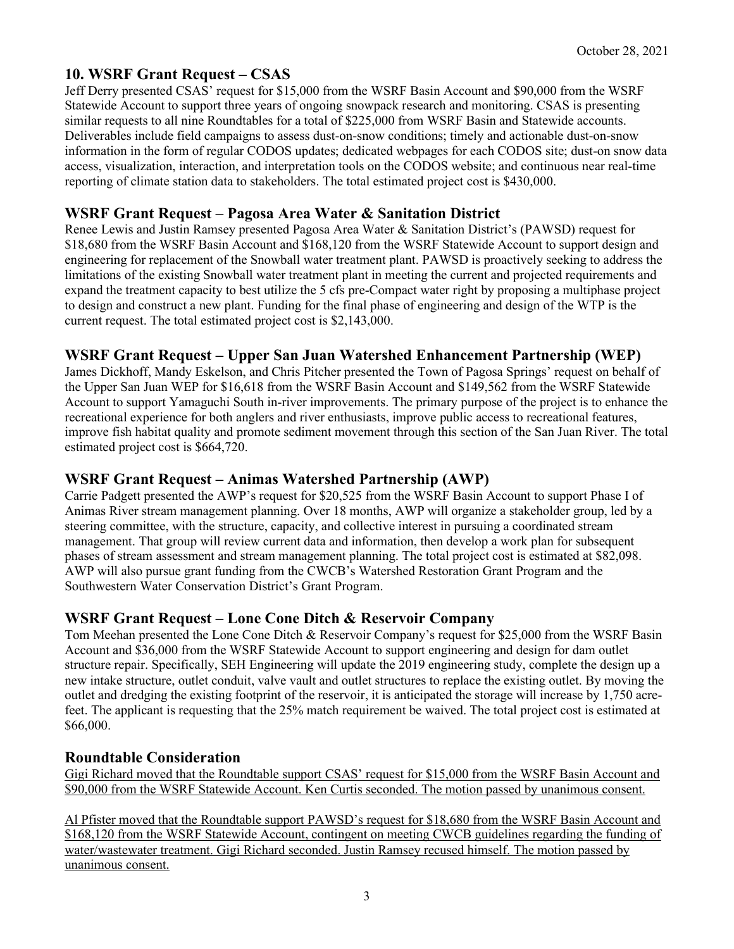# **10. WSRF Grant Request – CSAS**

Jeff Derry presented CSAS' request for \$15,000 from the WSRF Basin Account and \$90,000 from the WSRF Statewide Account to support three years of ongoing snowpack research and monitoring. CSAS is presenting similar requests to all nine Roundtables for a total of \$225,000 from WSRF Basin and Statewide accounts. Deliverables include field campaigns to assess dust-on-snow conditions; timely and actionable dust-on-snow information in the form of regular CODOS updates; dedicated webpages for each CODOS site; dust-on snow data access, visualization, interaction, and interpretation tools on the CODOS website; and continuous near real-time reporting of climate station data to stakeholders. The total estimated project cost is \$430,000.

### **WSRF Grant Request – Pagosa Area Water & Sanitation District**

Renee Lewis and Justin Ramsey presented Pagosa Area Water & Sanitation District's (PAWSD) request for \$18,680 from the WSRF Basin Account and \$168,120 from the WSRF Statewide Account to support design and engineering for replacement of the Snowball water treatment plant. PAWSD is proactively seeking to address the limitations of the existing Snowball water treatment plant in meeting the current and projected requirements and expand the treatment capacity to best utilize the 5 cfs pre-Compact water right by proposing a multiphase project to design and construct a new plant. Funding for the final phase of engineering and design of the WTP is the current request. The total estimated project cost is \$2,143,000.

## **WSRF Grant Request – Upper San Juan Watershed Enhancement Partnership (WEP)**

James Dickhoff, Mandy Eskelson, and Chris Pitcher presented the Town of Pagosa Springs' request on behalf of the Upper San Juan WEP for \$16,618 from the WSRF Basin Account and \$149,562 from the WSRF Statewide Account to support Yamaguchi South in-river improvements. The primary purpose of the project is to enhance the recreational experience for both anglers and river enthusiasts, improve public access to recreational features, improve fish habitat quality and promote sediment movement through this section of the San Juan River. The total estimated project cost is \$664,720.

### **WSRF Grant Request – Animas Watershed Partnership (AWP)**

Carrie Padgett presented the AWP's request for \$20,525 from the WSRF Basin Account to support Phase I of Animas River stream management planning. Over 18 months, AWP will organize a stakeholder group, led by a steering committee, with the structure, capacity, and collective interest in pursuing a coordinated stream management. That group will review current data and information, then develop a work plan for subsequent phases of stream assessment and stream management planning. The total project cost is estimated at \$82,098. AWP will also pursue grant funding from the CWCB's Watershed Restoration Grant Program and the Southwestern Water Conservation District's Grant Program.

### **WSRF Grant Request – Lone Cone Ditch & Reservoir Company**

Tom Meehan presented the Lone Cone Ditch & Reservoir Company's request for \$25,000 from the WSRF Basin Account and \$36,000 from the WSRF Statewide Account to support engineering and design for dam outlet structure repair. Specifically, SEH Engineering will update the 2019 engineering study, complete the design up a new intake structure, outlet conduit, valve vault and outlet structures to replace the existing outlet. By moving the outlet and dredging the existing footprint of the reservoir, it is anticipated the storage will increase by 1,750 acrefeet. The applicant is requesting that the 25% match requirement be waived. The total project cost is estimated at \$66,000.

### **Roundtable Consideration**

Gigi Richard moved that the Roundtable support CSAS' request for \$15,000 from the WSRF Basin Account and \$90,000 from the WSRF Statewide Account. Ken Curtis seconded. The motion passed by unanimous consent.

Al Pfister moved that the Roundtable support PAWSD's request for \$18,680 from the WSRF Basin Account and \$168,120 from the WSRF Statewide Account, contingent on meeting CWCB guidelines regarding the funding of water/wastewater treatment. Gigi Richard seconded. Justin Ramsey recused himself. The motion passed by unanimous consent.